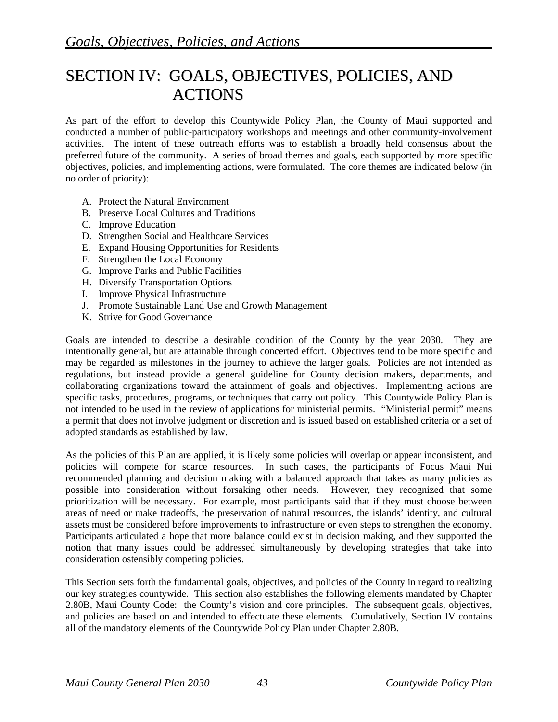# SECTION IV: GOALS, OBJECTIVES, POLICIES, AND ACTIONS

As part of the effort to develop this Countywide Policy Plan, the County of Maui supported and conducted a number of public-participatory workshops and meetings and other community-involvement activities. The intent of these outreach efforts was to establish a broadly held consensus about the preferred future of the community. A series of broad themes and goals, each supported by more specific objectives, policies, and implementing actions, were formulated. The core themes are indicated below (in no order of priority):

- A. Protect the Natural Environment
- B. Preserve Local Cultures and Traditions
- C. Improve Education
- D. Strengthen Social and Healthcare Services
- E. Expand Housing Opportunities for Residents
- F. Strengthen the Local Economy
- G. Improve Parks and Public Facilities
- H. Diversify Transportation Options
- I. Improve Physical Infrastructure
- J. Promote Sustainable Land Use and Growth Management
- K. Strive for Good Governance

Goals are intended to describe a desirable condition of the County by the year 2030. They are intentionally general, but are attainable through concerted effort. Objectives tend to be more specific and may be regarded as milestones in the journey to achieve the larger goals. Policies are not intended as regulations, but instead provide a general guideline for County decision makers, departments, and collaborating organizations toward the attainment of goals and objectives. Implementing actions are specific tasks, procedures, programs, or techniques that carry out policy. This Countywide Policy Plan is not intended to be used in the review of applications for ministerial permits. "Ministerial permit" means a permit that does not involve judgment or discretion and is issued based on established criteria or a set of adopted standards as established by law.

As the policies of this Plan are applied, it is likely some policies will overlap or appear inconsistent, and policies will compete for scarce resources. In such cases, the participants of Focus Maui Nui recommended planning and decision making with a balanced approach that takes as many policies as possible into consideration without forsaking other needs. However, they recognized that some prioritization will be necessary. For example, most participants said that if they must choose between areas of need or make tradeoffs, the preservation of natural resources, the islands' identity, and cultural assets must be considered before improvements to infrastructure or even steps to strengthen the economy. Participants articulated a hope that more balance could exist in decision making, and they supported the notion that many issues could be addressed simultaneously by developing strategies that take into consideration ostensibly competing policies.

This Section sets forth the fundamental goals, objectives, and policies of the County in regard to realizing our key strategies countywide. This section also establishes the following elements mandated by Chapter 2.80B, Maui County Code: the County's vision and core principles. The subsequent goals, objectives, and policies are based on and intended to effectuate these elements. Cumulatively, Section IV contains all of the mandatory elements of the Countywide Policy Plan under Chapter 2.80B.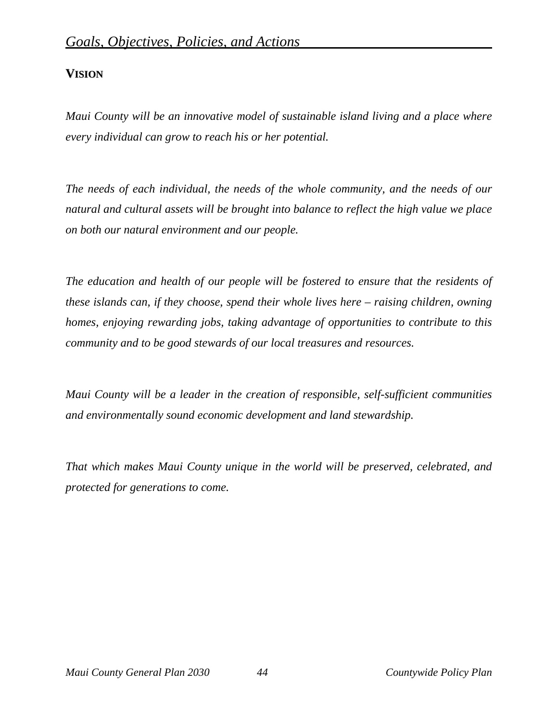# **VISION**

*Maui County will be an innovative model of sustainable island living and a place where every individual can grow to reach his or her potential.* 

*The needs of each individual, the needs of the whole community, and the needs of our natural and cultural assets will be brought into balance to reflect the high value we place on both our natural environment and our people.* 

*The education and health of our people will be fostered to ensure that the residents of these islands can, if they choose, spend their whole lives here – raising children, owning homes, enjoying rewarding jobs, taking advantage of opportunities to contribute to this community and to be good stewards of our local treasures and resources.* 

*Maui County will be a leader in the creation of responsible, self-sufficient communities and environmentally sound economic development and land stewardship.* 

*That which makes Maui County unique in the world will be preserved, celebrated, and protected for generations to come.*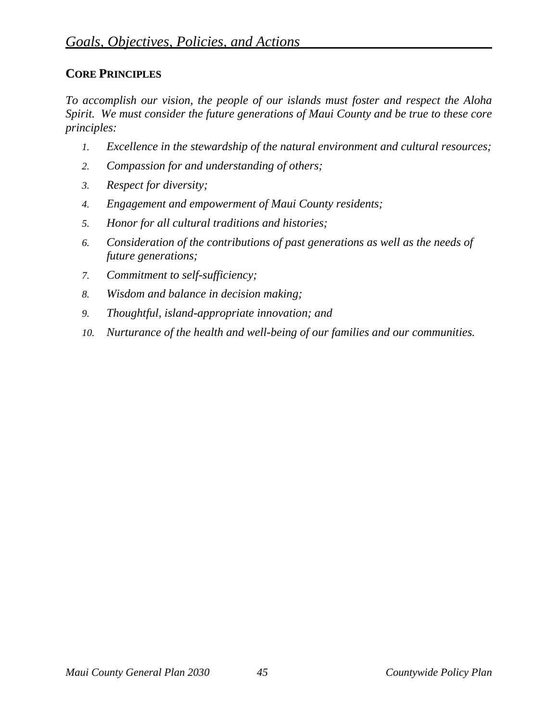# **CORE PRINCIPLES**

*To accomplish our vision, the people of our islands must foster and respect the Aloha Spirit. We must consider the future generations of Maui County and be true to these core principles:* 

- *1. Excellence in the stewardship of the natural environment and cultural resources;*
- *2. Compassion for and understanding of others;*
- *3. Respect for diversity;*
- *4. Engagement and empowerment of Maui County residents;*
- *5. Honor for all cultural traditions and histories;*
- *6. Consideration of the contributions of past generations as well as the needs of future generations;*
- *7. Commitment to self-sufficiency;*
- *8. Wisdom and balance in decision making;*
- *9. Thoughtful, island-appropriate innovation; and*
- *10. Nurturance of the health and well-being of our families and our communities.*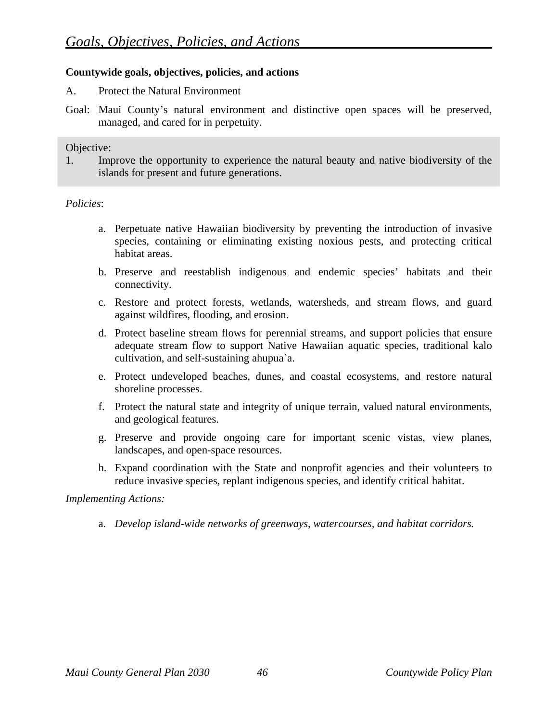# **Countywide goals, objectives, policies, and actions**

- A. Protect the Natural Environment
- Goal: Maui County's natural environment and distinctive open spaces will be preserved, managed, and cared for in perpetuity.

#### Objective:

1. Improve the opportunity to experience the natural beauty and native biodiversity of the islands for present and future generations.

#### *Policies*:

- a. Perpetuate native Hawaiian biodiversity by preventing the introduction of invasive species, containing or eliminating existing noxious pests, and protecting critical habitat areas.
- b. Preserve and reestablish indigenous and endemic species' habitats and their connectivity.
- c. Restore and protect forests, wetlands, watersheds, and stream flows, and guard against wildfires, flooding, and erosion.
- d. Protect baseline stream flows for perennial streams, and support policies that ensure adequate stream flow to support Native Hawaiian aquatic species, traditional kalo cultivation, and self-sustaining ahupua`a.
- e. Protect undeveloped beaches, dunes, and coastal ecosystems, and restore natural shoreline processes.
- f. Protect the natural state and integrity of unique terrain, valued natural environments, and geological features.
- g. Preserve and provide ongoing care for important scenic vistas, view planes, landscapes, and open-space resources.
- h. Expand coordination with the State and nonprofit agencies and their volunteers to reduce invasive species, replant indigenous species, and identify critical habitat.

#### *Implementing Actions:*

a. *Develop island-wide networks of greenways, watercourses, and habitat corridors.*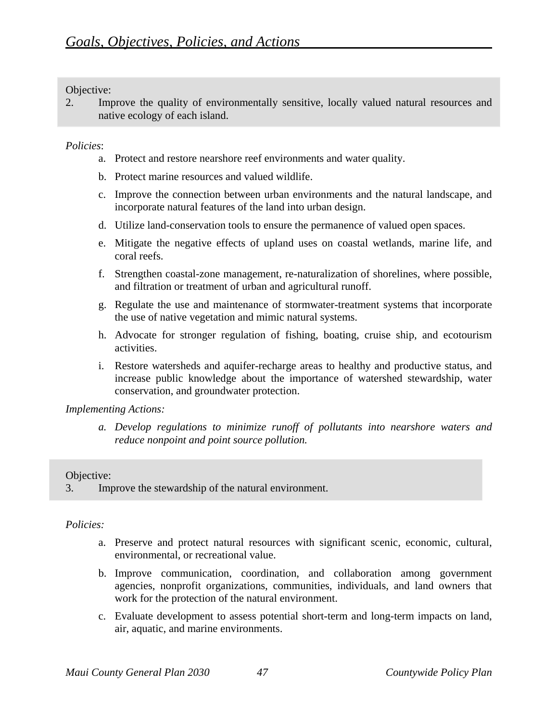2. Improve the quality of environmentally sensitive, locally valued natural resources and native ecology of each island.

# *Policies*:

- a. Protect and restore nearshore reef environments and water quality.
- b. Protect marine resources and valued wildlife.
- c. Improve the connection between urban environments and the natural landscape, and incorporate natural features of the land into urban design.
- d. Utilize land-conservation tools to ensure the permanence of valued open spaces.
- e. Mitigate the negative effects of upland uses on coastal wetlands, marine life, and coral reefs.
- f. Strengthen coastal-zone management, re-naturalization of shorelines, where possible, and filtration or treatment of urban and agricultural runoff.
- g. Regulate the use and maintenance of stormwater-treatment systems that incorporate the use of native vegetation and mimic natural systems.
- h. Advocate for stronger regulation of fishing, boating, cruise ship, and ecotourism activities.
- i. Restore watersheds and aquifer-recharge areas to healthy and productive status, and increase public knowledge about the importance of watershed stewardship, water conservation, and groundwater protection.

#### *Implementing Actions:*

*a. Develop regulations to minimize runoff of pollutants into nearshore waters and reduce nonpoint and point source pollution.* 

# Objective:

3. Improve the stewardship of the natural environment.

- a. Preserve and protect natural resources with significant scenic, economic, cultural, environmental, or recreational value.
- b. Improve communication, coordination, and collaboration among government agencies, nonprofit organizations, communities, individuals, and land owners that work for the protection of the natural environment.
- c. Evaluate development to assess potential short-term and long-term impacts on land, air, aquatic, and marine environments.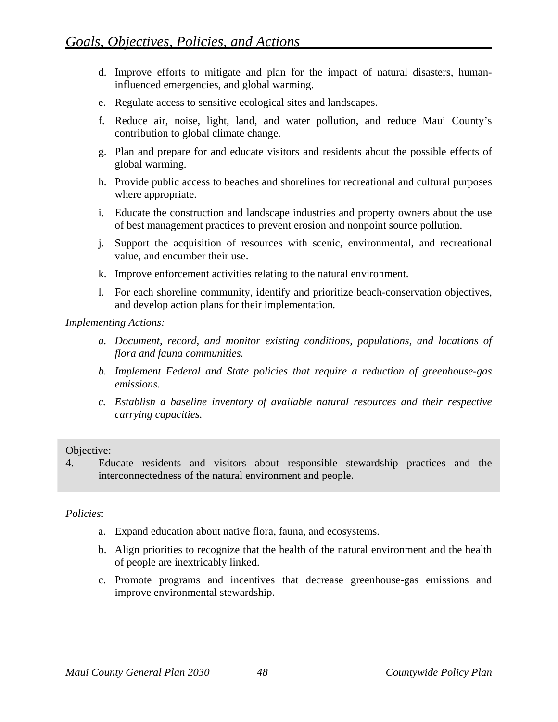- d. Improve efforts to mitigate and plan for the impact of natural disasters, humaninfluenced emergencies, and global warming.
- e. Regulate access to sensitive ecological sites and landscapes.
- f. Reduce air, noise, light, land, and water pollution, and reduce Maui County's contribution to global climate change.
- g. Plan and prepare for and educate visitors and residents about the possible effects of global warming.
- h. Provide public access to beaches and shorelines for recreational and cultural purposes where appropriate.
- i. Educate the construction and landscape industries and property owners about the use of best management practices to prevent erosion and nonpoint source pollution.
- j. Support the acquisition of resources with scenic, environmental, and recreational value, and encumber their use.
- k. Improve enforcement activities relating to the natural environment.
- l. For each shoreline community, identify and prioritize beach-conservation objectives, and develop action plans for their implementation*.*

- *a. Document, record, and monitor existing conditions, populations, and locations of flora and fauna communities.*
- *b. Implement Federal and State policies that require a reduction of greenhouse-gas emissions.*
- *c. Establish a baseline inventory of available natural resources and their respective carrying capacities.*

#### Objective:

4. Educate residents and visitors about responsible stewardship practices and the interconnectedness of the natural environment and people.

- a. Expand education about native flora, fauna, and ecosystems.
- b. Align priorities to recognize that the health of the natural environment and the health of people are inextricably linked.
- c. Promote programs and incentives that decrease greenhouse-gas emissions and improve environmental stewardship.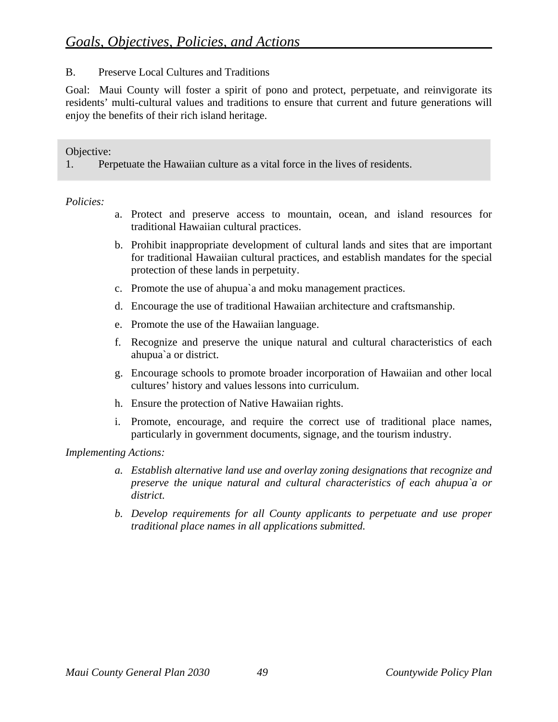# B. Preserve Local Cultures and Traditions

Goal: Maui County will foster a spirit of pono and protect, perpetuate, and reinvigorate its residents' multi-cultural values and traditions to ensure that current and future generations will enjoy the benefits of their rich island heritage.

Objective:

1. Perpetuate the Hawaiian culture as a vital force in the lives of residents.

*Policies:* 

- a. Protect and preserve access to mountain, ocean, and island resources for traditional Hawaiian cultural practices.
- b. Prohibit inappropriate development of cultural lands and sites that are important for traditional Hawaiian cultural practices, and establish mandates for the special protection of these lands in perpetuity.
- c. Promote the use of ahupua`a and moku management practices.
- d. Encourage the use of traditional Hawaiian architecture and craftsmanship.
- e. Promote the use of the Hawaiian language.
- f. Recognize and preserve the unique natural and cultural characteristics of each ahupua`a or district.
- g. Encourage schools to promote broader incorporation of Hawaiian and other local cultures' history and values lessons into curriculum.
- h. Ensure the protection of Native Hawaiian rights.
- i. Promote, encourage, and require the correct use of traditional place names, particularly in government documents, signage, and the tourism industry.

- *a. Establish alternative land use and overlay zoning designations that recognize and preserve the unique natural and cultural characteristics of each ahupua`a or district.*
- *b. Develop requirements for all County applicants to perpetuate and use proper traditional place names in all applications submitted.*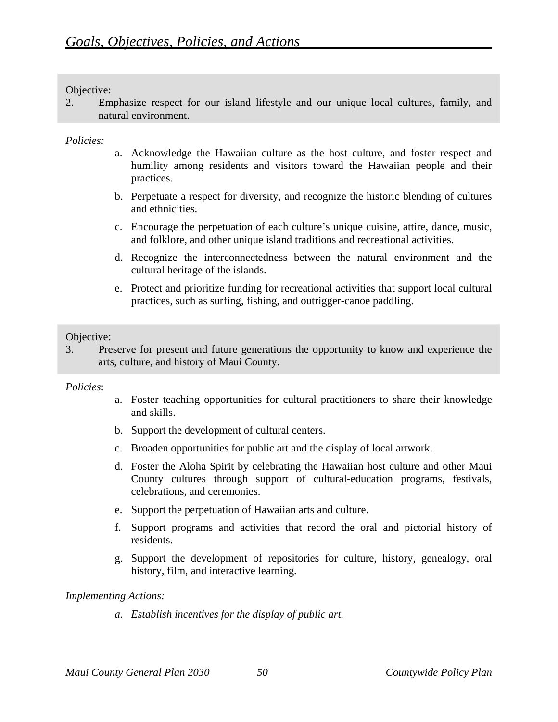2. Emphasize respect for our island lifestyle and our unique local cultures, family, and natural environment.

## *Policies:*

- a. Acknowledge the Hawaiian culture as the host culture, and foster respect and humility among residents and visitors toward the Hawaiian people and their practices.
- b. Perpetuate a respect for diversity, and recognize the historic blending of cultures and ethnicities.
- c. Encourage the perpetuation of each culture's unique cuisine, attire, dance, music, and folklore, and other unique island traditions and recreational activities.
- d. Recognize the interconnectedness between the natural environment and the cultural heritage of the islands.
- e. Protect and prioritize funding for recreational activities that support local cultural practices, such as surfing, fishing, and outrigger-canoe paddling.

# Objective:

3. Preserve for present and future generations the opportunity to know and experience the arts, culture, and history of Maui County.

#### *Policies*:

- a. Foster teaching opportunities for cultural practitioners to share their knowledge and skills.
- b. Support the development of cultural centers.
- c. Broaden opportunities for public art and the display of local artwork.
- d. Foster the Aloha Spirit by celebrating the Hawaiian host culture and other Maui County cultures through support of cultural-education programs, festivals, celebrations, and ceremonies.
- e. Support the perpetuation of Hawaiian arts and culture.
- f. Support programs and activities that record the oral and pictorial history of residents.
- g. Support the development of repositories for culture, history, genealogy, oral history, film, and interactive learning.

# *Implementing Actions:*

*a. Establish incentives for the display of public art.*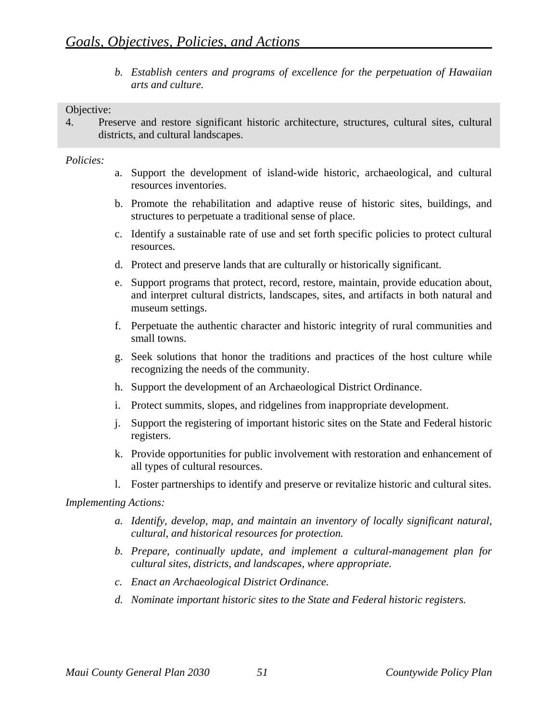*b. Establish centers and programs of excellence for the perpetuation of Hawaiian arts and culture.* 

## Objective:

4. Preserve and restore significant historic architecture, structures, cultural sites, cultural districts, and cultural landscapes.

## *Policies:*

- a. Support the development of island-wide historic, archaeological, and cultural resources inventories.
- b. Promote the rehabilitation and adaptive reuse of historic sites, buildings, and structures to perpetuate a traditional sense of place.
- c. Identify a sustainable rate of use and set forth specific policies to protect cultural resources.
- d. Protect and preserve lands that are culturally or historically significant.
- e. Support programs that protect, record, restore, maintain, provide education about, and interpret cultural districts, landscapes, sites, and artifacts in both natural and museum settings.
- f. Perpetuate the authentic character and historic integrity of rural communities and small towns.
- g. Seek solutions that honor the traditions and practices of the host culture while recognizing the needs of the community.
- h. Support the development of an Archaeological District Ordinance.
- i. Protect summits, slopes, and ridgelines from inappropriate development.
- j. Support the registering of important historic sites on the State and Federal historic registers.
- k. Provide opportunities for public involvement with restoration and enhancement of all types of cultural resources.
- l. Foster partnerships to identify and preserve or revitalize historic and cultural sites.

- *a. Identify, develop, map, and maintain an inventory of locally significant natural, cultural, and historical resources for protection.*
- *b. Prepare, continually update, and implement a cultural-management plan for cultural sites, districts, and landscapes, where appropriate.*
- *c. Enact an Archaeological District Ordinance.*
- *d. Nominate important historic sites to the State and Federal historic registers.*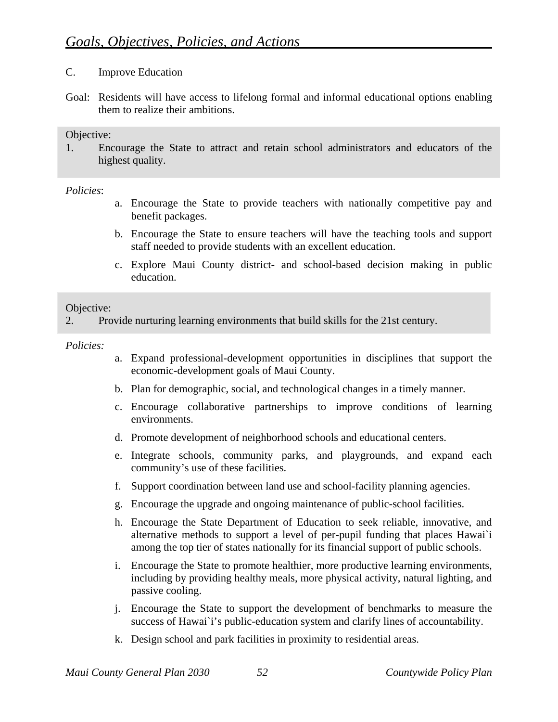# C. Improve Education

Goal: Residents will have access to lifelong formal and informal educational options enabling them to realize their ambitions.

#### Objective:

1. Encourage the State to attract and retain school administrators and educators of the highest quality.

*Policies*:

- a. Encourage the State to provide teachers with nationally competitive pay and benefit packages.
- b. Encourage the State to ensure teachers will have the teaching tools and support staff needed to provide students with an excellent education.
- c. Explore Maui County district- and school-based decision making in public education.

#### Objective:

2. Provide nurturing learning environments that build skills for the 21st century.

- a. Expand professional-development opportunities in disciplines that support the economic-development goals of Maui County.
- b. Plan for demographic, social, and technological changes in a timely manner.
- c. Encourage collaborative partnerships to improve conditions of learning environments.
- d. Promote development of neighborhood schools and educational centers.
- e. Integrate schools, community parks, and playgrounds, and expand each community's use of these facilities.
- f. Support coordination between land use and school-facility planning agencies.
- g. Encourage the upgrade and ongoing maintenance of public-school facilities.
- h. Encourage the State Department of Education to seek reliable, innovative, and alternative methods to support a level of per-pupil funding that places Hawai`i among the top tier of states nationally for its financial support of public schools.
- i. Encourage the State to promote healthier, more productive learning environments, including by providing healthy meals, more physical activity, natural lighting, and passive cooling.
- j. Encourage the State to support the development of benchmarks to measure the success of Hawai`i's public-education system and clarify lines of accountability.
- k. Design school and park facilities in proximity to residential areas.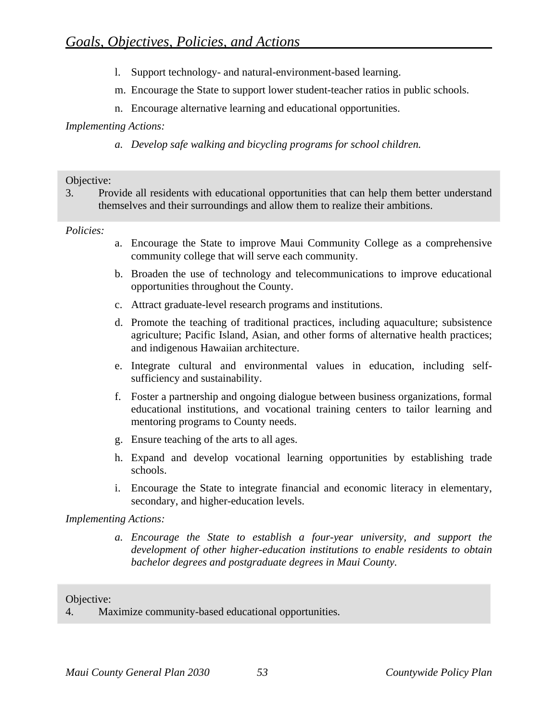- l. Support technology- and natural-environment-based learning.
- m. Encourage the State to support lower student-teacher ratios in public schools.
- n. Encourage alternative learning and educational opportunities.

*a. Develop safe walking and bicycling programs for school children.* 

## Objective:

3. Provide all residents with educational opportunities that can help them better understand themselves and their surroundings and allow them to realize their ambitions.

## *Policies:*

- a. Encourage the State to improve Maui Community College as a comprehensive community college that will serve each community.
- b. Broaden the use of technology and telecommunications to improve educational opportunities throughout the County.
- c. Attract graduate-level research programs and institutions.
- d. Promote the teaching of traditional practices, including aquaculture; subsistence agriculture; Pacific Island, Asian, and other forms of alternative health practices; and indigenous Hawaiian architecture.
- e. Integrate cultural and environmental values in education, including selfsufficiency and sustainability.
- f. Foster a partnership and ongoing dialogue between business organizations, formal educational institutions, and vocational training centers to tailor learning and mentoring programs to County needs.
- g. Ensure teaching of the arts to all ages.
- h. Expand and develop vocational learning opportunities by establishing trade schools.
- i. Encourage the State to integrate financial and economic literacy in elementary, secondary, and higher-education levels.

# *Implementing Actions:*

*a. Encourage the State to establish a four-year university, and support the development of other higher-education institutions to enable residents to obtain bachelor degrees and postgraduate degrees in Maui County.* 

# Objective:

4. Maximize community-based educational opportunities.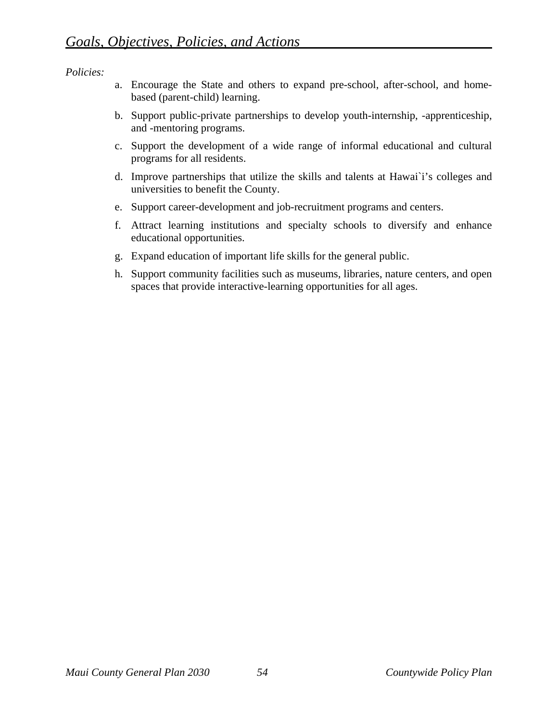- a. Encourage the State and others to expand pre-school, after-school, and homebased (parent-child) learning.
- b. Support public-private partnerships to develop youth-internship, -apprenticeship, and -mentoring programs.
- c. Support the development of a wide range of informal educational and cultural programs for all residents.
- d. Improve partnerships that utilize the skills and talents at Hawai`i's colleges and universities to benefit the County.
- e. Support career-development and job-recruitment programs and centers.
- f. Attract learning institutions and specialty schools to diversify and enhance educational opportunities.
- g. Expand education of important life skills for the general public.
- h. Support community facilities such as museums, libraries, nature centers, and open spaces that provide interactive-learning opportunities for all ages.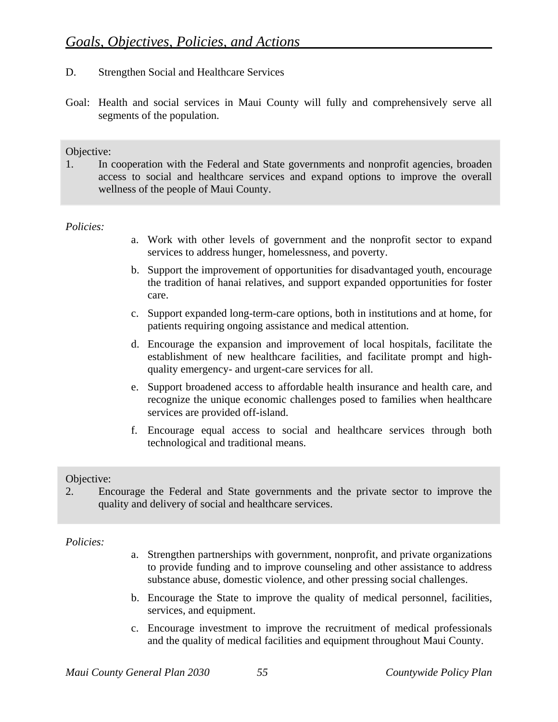- D. Strengthen Social and Healthcare Services
- Goal: Health and social services in Maui County will fully and comprehensively serve all segments of the population.

1. In cooperation with the Federal and State governments and nonprofit agencies, broaden access to social and healthcare services and expand options to improve the overall wellness of the people of Maui County.

#### *Policies:*

- a. Work with other levels of government and the nonprofit sector to expand services to address hunger, homelessness, and poverty.
- b. Support the improvement of opportunities for disadvantaged youth, encourage the tradition of hanai relatives, and support expanded opportunities for foster care.
- c. Support expanded long-term-care options, both in institutions and at home, for patients requiring ongoing assistance and medical attention.
- d. Encourage the expansion and improvement of local hospitals, facilitate the establishment of new healthcare facilities, and facilitate prompt and highquality emergency- and urgent-care services for all.
- e. Support broadened access to affordable health insurance and health care, and recognize the unique economic challenges posed to families when healthcare services are provided off-island.
- f. Encourage equal access to social and healthcare services through both technological and traditional means.

#### Objective:

2. Encourage the Federal and State governments and the private sector to improve the quality and delivery of social and healthcare services.

- a. Strengthen partnerships with government, nonprofit, and private organizations to provide funding and to improve counseling and other assistance to address substance abuse, domestic violence, and other pressing social challenges.
- b. Encourage the State to improve the quality of medical personnel, facilities, services, and equipment.
- c. Encourage investment to improve the recruitment of medical professionals and the quality of medical facilities and equipment throughout Maui County.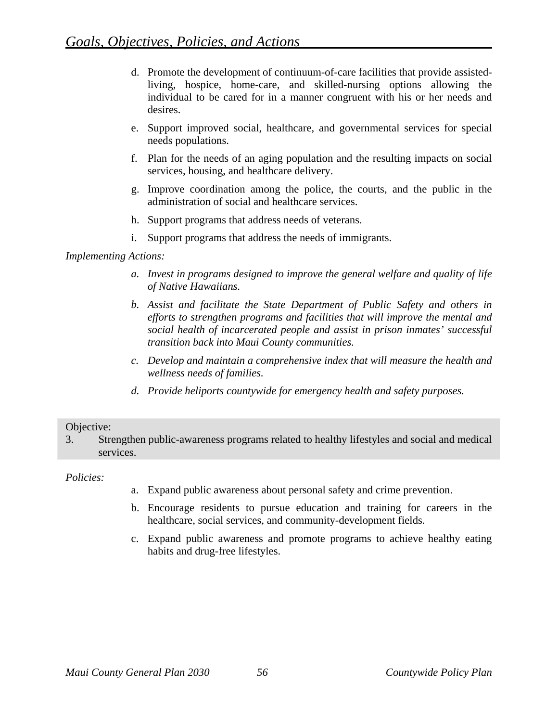- d. Promote the development of continuum-of-care facilities that provide assistedliving, hospice, home-care, and skilled-nursing options allowing the individual to be cared for in a manner congruent with his or her needs and desires.
- e. Support improved social, healthcare, and governmental services for special needs populations.
- f. Plan for the needs of an aging population and the resulting impacts on social services, housing, and healthcare delivery.
- g. Improve coordination among the police, the courts, and the public in the administration of social and healthcare services.
- h. Support programs that address needs of veterans.
- i. Support programs that address the needs of immigrants.

- *a. Invest in programs designed to improve the general welfare and quality of life of Native Hawaiians.*
- *b. Assist and facilitate the State Department of Public Safety and others in efforts to strengthen programs and facilities that will improve the mental and social health of incarcerated people and assist in prison inmates' successful transition back into Maui County communities.*
- *c. Develop and maintain a comprehensive index that will measure the health and wellness needs of families.*
- *d. Provide heliports countywide for emergency health and safety purposes.*

#### Objective:

3. Strengthen public-awareness programs related to healthy lifestyles and social and medical services.

- a. Expand public awareness about personal safety and crime prevention.
- b. Encourage residents to pursue education and training for careers in the healthcare, social services, and community-development fields.
- c. Expand public awareness and promote programs to achieve healthy eating habits and drug-free lifestyles.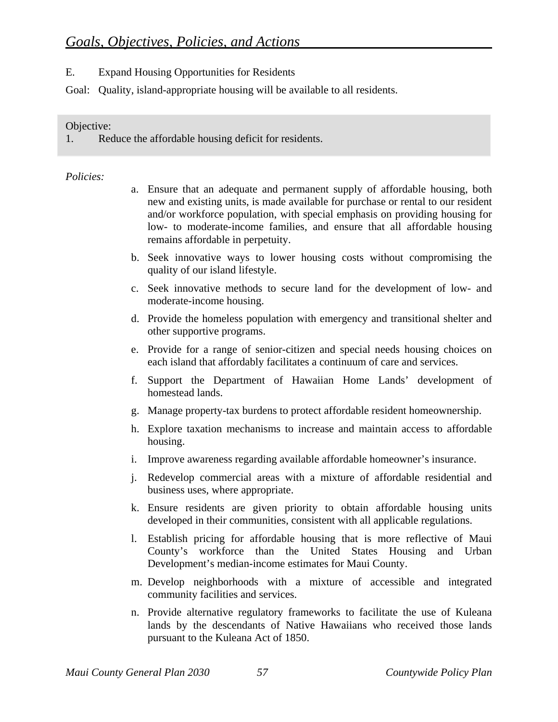E. Expand Housing Opportunities for Residents

Goal: Quality, island-appropriate housing will be available to all residents.

## Objective:

1. Reduce the affordable housing deficit for residents.

- a. Ensure that an adequate and permanent supply of affordable housing, both new and existing units, is made available for purchase or rental to our resident and/or workforce population, with special emphasis on providing housing for low- to moderate-income families, and ensure that all affordable housing remains affordable in perpetuity.
- b. Seek innovative ways to lower housing costs without compromising the quality of our island lifestyle.
- c. Seek innovative methods to secure land for the development of low- and moderate-income housing.
- d. Provide the homeless population with emergency and transitional shelter and other supportive programs.
- e. Provide for a range of senior-citizen and special needs housing choices on each island that affordably facilitates a continuum of care and services.
- f. Support the Department of Hawaiian Home Lands' development of homestead lands.
- g. Manage property-tax burdens to protect affordable resident homeownership.
- h. Explore taxation mechanisms to increase and maintain access to affordable housing.
- i. Improve awareness regarding available affordable homeowner's insurance.
- j. Redevelop commercial areas with a mixture of affordable residential and business uses, where appropriate.
- k. Ensure residents are given priority to obtain affordable housing units developed in their communities, consistent with all applicable regulations.
- l. Establish pricing for affordable housing that is more reflective of Maui County's workforce than the United States Housing and Urban Development's median-income estimates for Maui County.
- m. Develop neighborhoods with a mixture of accessible and integrated community facilities and services.
- n. Provide alternative regulatory frameworks to facilitate the use of Kuleana lands by the descendants of Native Hawaiians who received those lands pursuant to the Kuleana Act of 1850.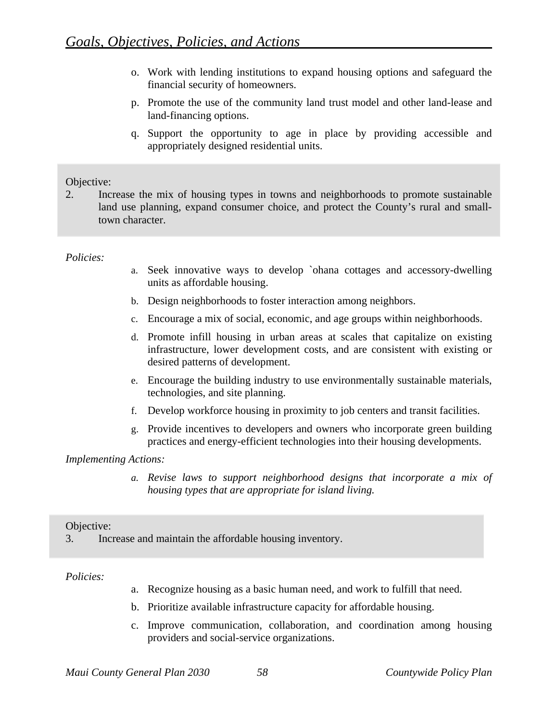- o. Work with lending institutions to expand housing options and safeguard the financial security of homeowners.
- p. Promote the use of the community land trust model and other land-lease and land-financing options.
- q. Support the opportunity to age in place by providing accessible and appropriately designed residential units.

2. Increase the mix of housing types in towns and neighborhoods to promote sustainable land use planning, expand consumer choice, and protect the County's rural and smalltown character.

#### *Policies:*

- a. Seek innovative ways to develop `ohana cottages and accessory-dwelling units as affordable housing.
- b. Design neighborhoods to foster interaction among neighbors.
- c. Encourage a mix of social, economic, and age groups within neighborhoods.
- d. Promote infill housing in urban areas at scales that capitalize on existing infrastructure, lower development costs, and are consistent with existing or desired patterns of development.
- e. Encourage the building industry to use environmentally sustainable materials, technologies, and site planning.
- f. Develop workforce housing in proximity to job centers and transit facilities.
- g. Provide incentives to developers and owners who incorporate green building practices and energy-efficient technologies into their housing developments.

#### *Implementing Actions:*

*a. Revise laws to support neighborhood designs that incorporate a mix of housing types that are appropriate for island living.* 

#### Objective:

3. Increase and maintain the affordable housing inventory.

- a. Recognize housing as a basic human need, and work to fulfill that need.
- b. Prioritize available infrastructure capacity for affordable housing.
- c. Improve communication, collaboration, and coordination among housing providers and social-service organizations.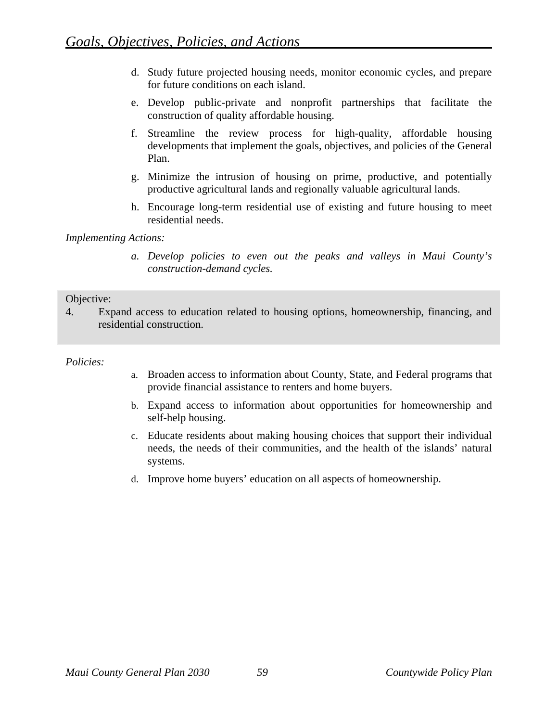- d. Study future projected housing needs, monitor economic cycles, and prepare for future conditions on each island.
- e. Develop public-private and nonprofit partnerships that facilitate the construction of quality affordable housing.
- f. Streamline the review process for high-quality, affordable housing developments that implement the goals, objectives, and policies of the General Plan.
- g. Minimize the intrusion of housing on prime, productive, and potentially productive agricultural lands and regionally valuable agricultural lands.
- h. Encourage long-term residential use of existing and future housing to meet residential needs.

*a. Develop policies to even out the peaks and valleys in Maui County's construction-demand cycles.* 

#### Objective:

4. Expand access to education related to housing options, homeownership, financing, and residential construction.

- a. Broaden access to information about County, State, and Federal programs that provide financial assistance to renters and home buyers.
- b. Expand access to information about opportunities for homeownership and self-help housing.
- c. Educate residents about making housing choices that support their individual needs, the needs of their communities, and the health of the islands' natural systems.
- d. Improve home buyers' education on all aspects of homeownership.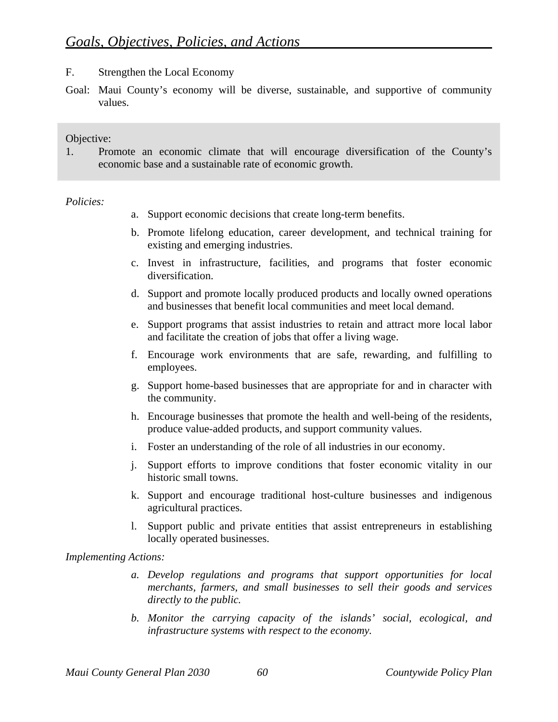- F. Strengthen the Local Economy
- Goal: Maui County's economy will be diverse, sustainable, and supportive of community values.

1. Promote an economic climate that will encourage diversification of the County's economic base and a sustainable rate of economic growth.

#### *Policies:*

- a. Support economic decisions that create long-term benefits.
- b. Promote lifelong education, career development, and technical training for existing and emerging industries.
- c. Invest in infrastructure, facilities, and programs that foster economic diversification.
- d. Support and promote locally produced products and locally owned operations and businesses that benefit local communities and meet local demand.
- e. Support programs that assist industries to retain and attract more local labor and facilitate the creation of jobs that offer a living wage.
- f. Encourage work environments that are safe, rewarding, and fulfilling to employees.
- g. Support home-based businesses that are appropriate for and in character with the community.
- h. Encourage businesses that promote the health and well-being of the residents, produce value-added products, and support community values.
- i. Foster an understanding of the role of all industries in our economy.
- j. Support efforts to improve conditions that foster economic vitality in our historic small towns.
- k. Support and encourage traditional host-culture businesses and indigenous agricultural practices.
- l. Support public and private entities that assist entrepreneurs in establishing locally operated businesses.

- *a. Develop regulations and programs that support opportunities for local merchants, farmers, and small businesses to sell their goods and services directly to the public.*
- *b. Monitor the carrying capacity of the islands' social, ecological, and infrastructure systems with respect to the economy.*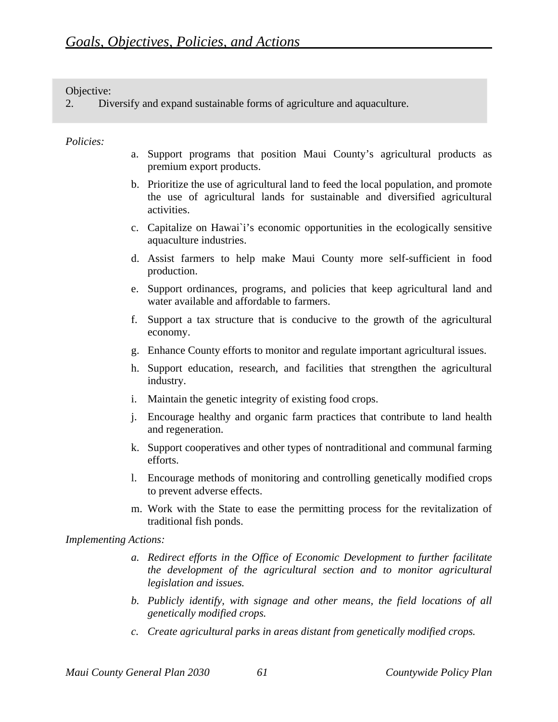2. Diversify and expand sustainable forms of agriculture and aquaculture.

#### *Policies:*

- a. Support programs that position Maui County's agricultural products as premium export products.
- b. Prioritize the use of agricultural land to feed the local population, and promote the use of agricultural lands for sustainable and diversified agricultural activities.
- c. Capitalize on Hawai`i's economic opportunities in the ecologically sensitive aquaculture industries.
- d. Assist farmers to help make Maui County more self-sufficient in food production.
- e. Support ordinances, programs, and policies that keep agricultural land and water available and affordable to farmers.
- f. Support a tax structure that is conducive to the growth of the agricultural economy.
- g. Enhance County efforts to monitor and regulate important agricultural issues.
- h. Support education, research, and facilities that strengthen the agricultural industry.
- i. Maintain the genetic integrity of existing food crops.
- j. Encourage healthy and organic farm practices that contribute to land health and regeneration.
- k. Support cooperatives and other types of nontraditional and communal farming efforts.
- l. Encourage methods of monitoring and controlling genetically modified crops to prevent adverse effects.
- m. Work with the State to ease the permitting process for the revitalization of traditional fish ponds.

- *a. Redirect efforts in the Office of Economic Development to further facilitate the development of the agricultural section and to monitor agricultural legislation and issues.*
- *b. Publicly identify, with signage and other means, the field locations of all genetically modified crops.*
- *c. Create agricultural parks in areas distant from genetically modified crops.*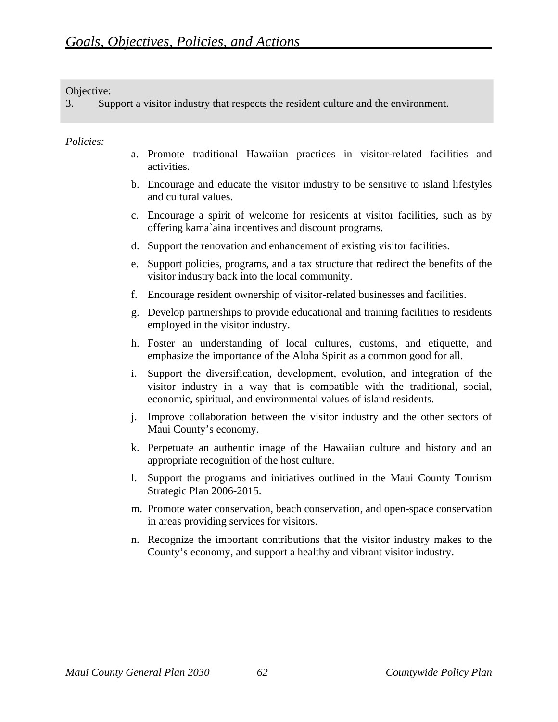3. Support a visitor industry that respects the resident culture and the environment.

- a. Promote traditional Hawaiian practices in visitor-related facilities and activities.
- b. Encourage and educate the visitor industry to be sensitive to island lifestyles and cultural values.
- c. Encourage a spirit of welcome for residents at visitor facilities, such as by offering kama`aina incentives and discount programs.
- d. Support the renovation and enhancement of existing visitor facilities.
- e. Support policies, programs, and a tax structure that redirect the benefits of the visitor industry back into the local community.
- f. Encourage resident ownership of visitor-related businesses and facilities.
- g. Develop partnerships to provide educational and training facilities to residents employed in the visitor industry.
- h. Foster an understanding of local cultures, customs, and etiquette, and emphasize the importance of the Aloha Spirit as a common good for all.
- i. Support the diversification, development, evolution, and integration of the visitor industry in a way that is compatible with the traditional, social, economic, spiritual, and environmental values of island residents.
- j. Improve collaboration between the visitor industry and the other sectors of Maui County's economy.
- k. Perpetuate an authentic image of the Hawaiian culture and history and an appropriate recognition of the host culture.
- l. Support the programs and initiatives outlined in the Maui County Tourism Strategic Plan 2006-2015.
- m. Promote water conservation, beach conservation, and open-space conservation in areas providing services for visitors.
- n. Recognize the important contributions that the visitor industry makes to the County's economy, and support a healthy and vibrant visitor industry.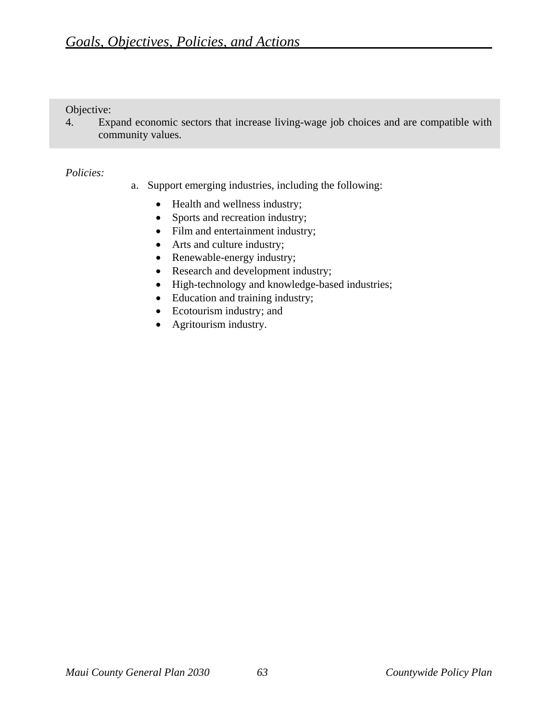4. Expand economic sectors that increase living-wage job choices and are compatible with community values.

- a. Support emerging industries, including the following:
	- Health and wellness industry;
	- Sports and recreation industry;
	- Film and entertainment industry;
	- Arts and culture industry;
	- Renewable-energy industry;
	- Research and development industry;
	- High-technology and knowledge-based industries;
	- Education and training industry;
	- Ecotourism industry; and
	- Agritourism industry.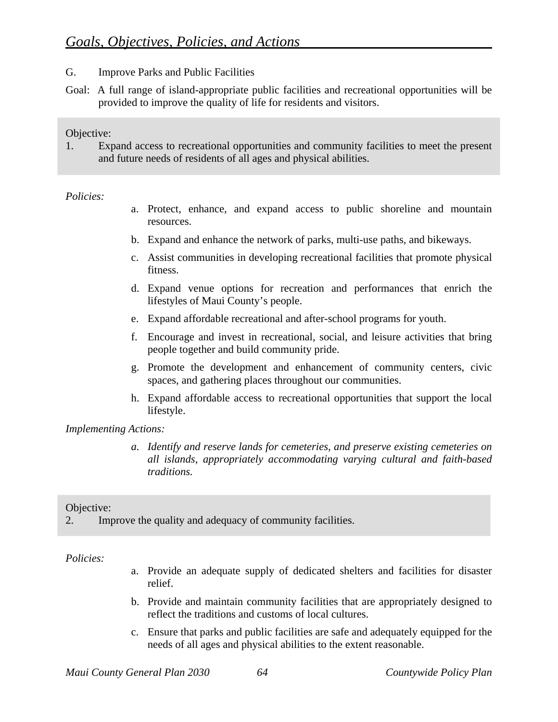- G. Improve Parks and Public Facilities
- Goal: A full range of island-appropriate public facilities and recreational opportunities will be provided to improve the quality of life for residents and visitors.

1. Expand access to recreational opportunities and community facilities to meet the present and future needs of residents of all ages and physical abilities.

#### *Policies:*

- a. Protect, enhance, and expand access to public shoreline and mountain resources.
- b. Expand and enhance the network of parks, multi-use paths, and bikeways.
- c. Assist communities in developing recreational facilities that promote physical fitness.
- d. Expand venue options for recreation and performances that enrich the lifestyles of Maui County's people.
- e. Expand affordable recreational and after-school programs for youth.
- f. Encourage and invest in recreational, social, and leisure activities that bring people together and build community pride.
- g. Promote the development and enhancement of community centers, civic spaces, and gathering places throughout our communities.
- h. Expand affordable access to recreational opportunities that support the local lifestyle.

#### *Implementing Actions:*

*a. Identify and reserve lands for cemeteries, and preserve existing cemeteries on all islands, appropriately accommodating varying cultural and faith-based traditions.* 

#### Objective:

2. Improve the quality and adequacy of community facilities.

- a. Provide an adequate supply of dedicated shelters and facilities for disaster relief.
- b. Provide and maintain community facilities that are appropriately designed to reflect the traditions and customs of local cultures.
- c. Ensure that parks and public facilities are safe and adequately equipped for the needs of all ages and physical abilities to the extent reasonable.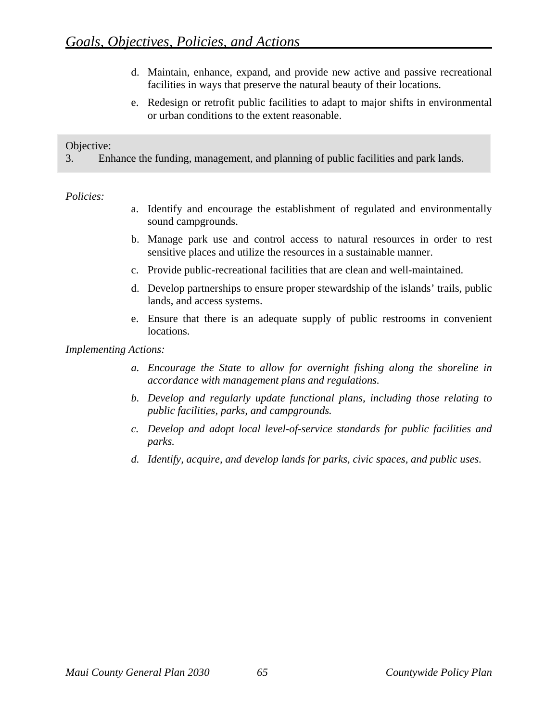- d. Maintain, enhance, expand, and provide new active and passive recreational facilities in ways that preserve the natural beauty of their locations.
- e. Redesign or retrofit public facilities to adapt to major shifts in environmental or urban conditions to the extent reasonable.

3. Enhance the funding, management, and planning of public facilities and park lands.

#### *Policies:*

- a. Identify and encourage the establishment of regulated and environmentally sound campgrounds.
- b. Manage park use and control access to natural resources in order to rest sensitive places and utilize the resources in a sustainable manner.
- c. Provide public-recreational facilities that are clean and well-maintained.
- d. Develop partnerships to ensure proper stewardship of the islands' trails, public lands, and access systems.
- e. Ensure that there is an adequate supply of public restrooms in convenient locations.

- *a. Encourage the State to allow for overnight fishing along the shoreline in accordance with management plans and regulations.*
- *b. Develop and regularly update functional plans, including those relating to public facilities, parks, and campgrounds.*
- *c. Develop and adopt local level-of-service standards for public facilities and parks.*
- *d. Identify, acquire, and develop lands for parks, civic spaces, and public uses.*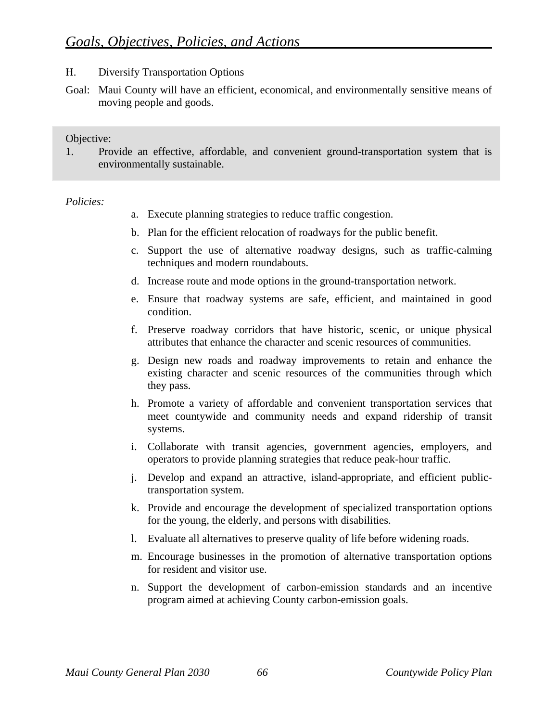- H. Diversify Transportation Options
- Goal: Maui County will have an efficient, economical, and environmentally sensitive means of moving people and goods.

1. Provide an effective, affordable, and convenient ground-transportation system that is environmentally sustainable.

- a. Execute planning strategies to reduce traffic congestion.
- b. Plan for the efficient relocation of roadways for the public benefit.
- c. Support the use of alternative roadway designs, such as traffic-calming techniques and modern roundabouts.
- d. Increase route and mode options in the ground-transportation network.
- e. Ensure that roadway systems are safe, efficient, and maintained in good condition.
- f. Preserve roadway corridors that have historic, scenic, or unique physical attributes that enhance the character and scenic resources of communities.
- g. Design new roads and roadway improvements to retain and enhance the existing character and scenic resources of the communities through which they pass.
- h. Promote a variety of affordable and convenient transportation services that meet countywide and community needs and expand ridership of transit systems.
- i. Collaborate with transit agencies, government agencies, employers, and operators to provide planning strategies that reduce peak-hour traffic.
- j. Develop and expand an attractive, island-appropriate, and efficient publictransportation system.
- k. Provide and encourage the development of specialized transportation options for the young, the elderly, and persons with disabilities.
- l. Evaluate all alternatives to preserve quality of life before widening roads.
- m. Encourage businesses in the promotion of alternative transportation options for resident and visitor use.
- n. Support the development of carbon-emission standards and an incentive program aimed at achieving County carbon-emission goals.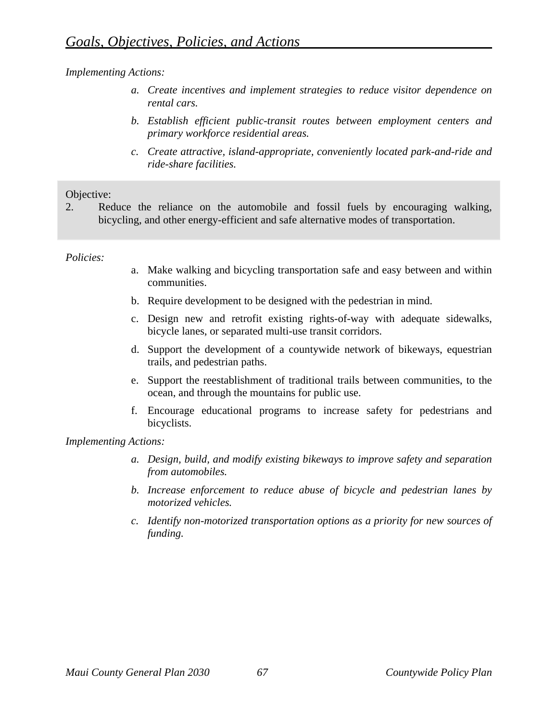- *a. Create incentives and implement strategies to reduce visitor dependence on rental cars.*
- *b. Establish efficient public-transit routes between employment centers and primary workforce residential areas.*
- *c. Create attractive, island-appropriate, conveniently located park-and-ride and ride-share facilities.*

## Objective:

2. Reduce the reliance on the automobile and fossil fuels by encouraging walking, bicycling, and other energy-efficient and safe alternative modes of transportation.

## *Policies:*

- a. Make walking and bicycling transportation safe and easy between and within communities.
- b. Require development to be designed with the pedestrian in mind.
- c. Design new and retrofit existing rights-of-way with adequate sidewalks, bicycle lanes, or separated multi-use transit corridors.
- d. Support the development of a countywide network of bikeways, equestrian trails, and pedestrian paths.
- e. Support the reestablishment of traditional trails between communities, to the ocean, and through the mountains for public use.
- f. Encourage educational programs to increase safety for pedestrians and bicyclists.

- *a. Design, build, and modify existing bikeways to improve safety and separation from automobiles.*
- *b. Increase enforcement to reduce abuse of bicycle and pedestrian lanes by motorized vehicles.*
- *c. Identify non-motorized transportation options as a priority for new sources of funding.*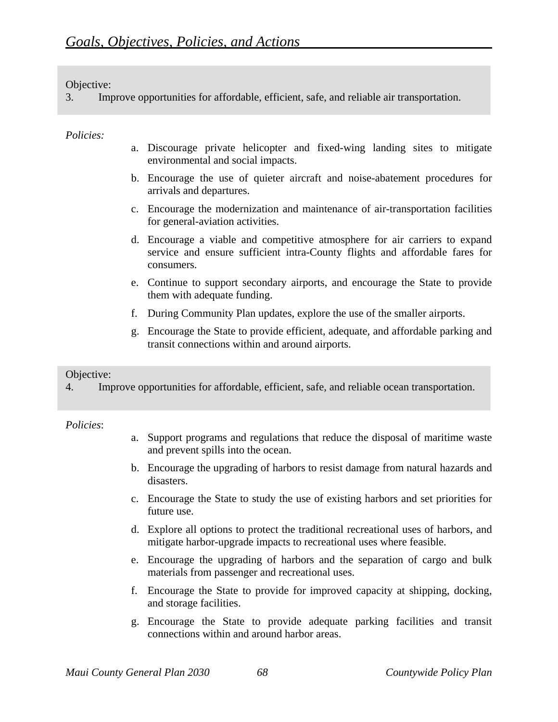3. Improve opportunities for affordable, efficient, safe, and reliable air transportation.

## *Policies:*

- a. Discourage private helicopter and fixed-wing landing sites to mitigate environmental and social impacts.
- b. Encourage the use of quieter aircraft and noise-abatement procedures for arrivals and departures.
- c. Encourage the modernization and maintenance of air-transportation facilities for general-aviation activities.
- d. Encourage a viable and competitive atmosphere for air carriers to expand service and ensure sufficient intra-County flights and affordable fares for consumers.
- e. Continue to support secondary airports, and encourage the State to provide them with adequate funding.
- f. During Community Plan updates, explore the use of the smaller airports.
- g. Encourage the State to provide efficient, adequate, and affordable parking and transit connections within and around airports.

#### Objective:

4. Improve opportunities for affordable, efficient, safe, and reliable ocean transportation.

- a. Support programs and regulations that reduce the disposal of maritime waste and prevent spills into the ocean.
- b. Encourage the upgrading of harbors to resist damage from natural hazards and disasters.
- c. Encourage the State to study the use of existing harbors and set priorities for future use.
- d. Explore all options to protect the traditional recreational uses of harbors, and mitigate harbor-upgrade impacts to recreational uses where feasible.
- e. Encourage the upgrading of harbors and the separation of cargo and bulk materials from passenger and recreational uses.
- f. Encourage the State to provide for improved capacity at shipping, docking, and storage facilities.
- g. Encourage the State to provide adequate parking facilities and transit connections within and around harbor areas.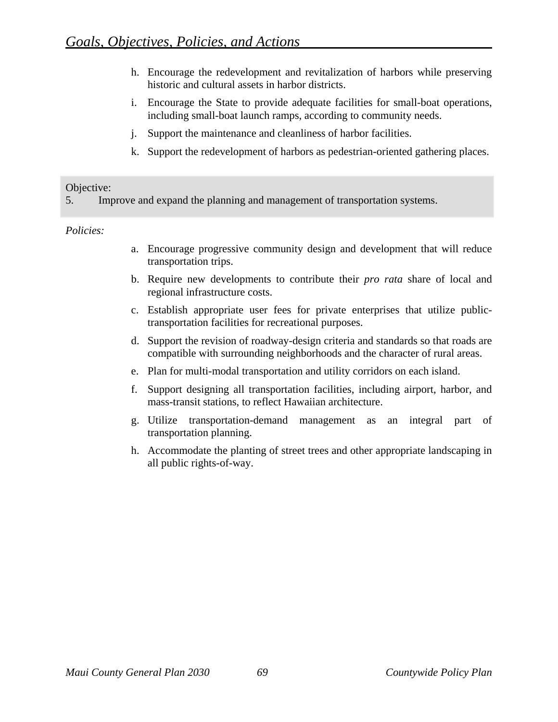- h. Encourage the redevelopment and revitalization of harbors while preserving historic and cultural assets in harbor districts.
- i. Encourage the State to provide adequate facilities for small-boat operations, including small-boat launch ramps, according to community needs.
- j. Support the maintenance and cleanliness of harbor facilities.
- k. Support the redevelopment of harbors as pedestrian-oriented gathering places.

5. Improve and expand the planning and management of transportation systems.

- a. Encourage progressive community design and development that will reduce transportation trips.
- b. Require new developments to contribute their *pro rata* share of local and regional infrastructure costs.
- c. Establish appropriate user fees for private enterprises that utilize publictransportation facilities for recreational purposes.
- d. Support the revision of roadway-design criteria and standards so that roads are compatible with surrounding neighborhoods and the character of rural areas.
- e. Plan for multi-modal transportation and utility corridors on each island.
- f. Support designing all transportation facilities, including airport, harbor, and mass-transit stations, to reflect Hawaiian architecture.
- g. Utilize transportation-demand management as an integral part of transportation planning.
- h. Accommodate the planting of street trees and other appropriate landscaping in all public rights-of-way.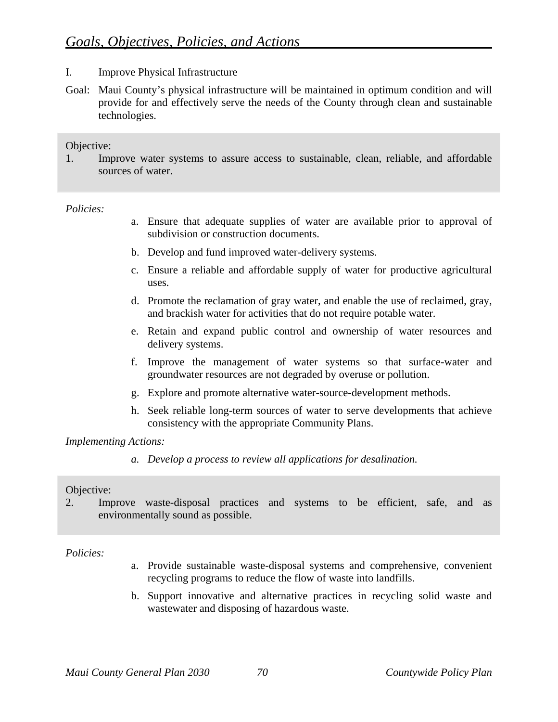- I. Improve Physical Infrastructure
- Goal: Maui County's physical infrastructure will be maintained in optimum condition and will provide for and effectively serve the needs of the County through clean and sustainable technologies.

1. Improve water systems to assure access to sustainable, clean, reliable, and affordable sources of water.

#### *Policies:*

- a. Ensure that adequate supplies of water are available prior to approval of subdivision or construction documents.
- b. Develop and fund improved water-delivery systems.
- c. Ensure a reliable and affordable supply of water for productive agricultural uses.
- d. Promote the reclamation of gray water, and enable the use of reclaimed, gray, and brackish water for activities that do not require potable water.
- e. Retain and expand public control and ownership of water resources and delivery systems.
- f. Improve the management of water systems so that surface-water and groundwater resources are not degraded by overuse or pollution.
- g. Explore and promote alternative water-source-development methods.
- h. Seek reliable long-term sources of water to serve developments that achieve consistency with the appropriate Community Plans.

#### *Implementing Actions:*

*a. Develop a process to review all applications for desalination.* 

#### Objective:

2. Improve waste-disposal practices and systems to be efficient, safe, and as environmentally sound as possible.

- a. Provide sustainable waste-disposal systems and comprehensive, convenient recycling programs to reduce the flow of waste into landfills.
- b. Support innovative and alternative practices in recycling solid waste and wastewater and disposing of hazardous waste.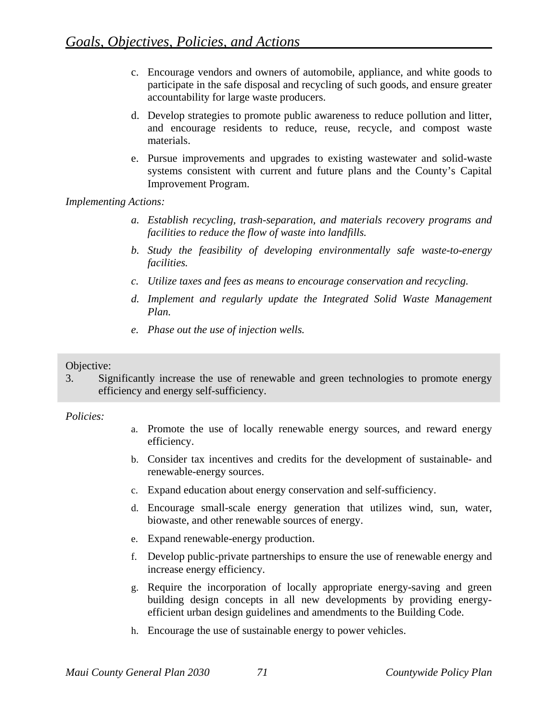- c. Encourage vendors and owners of automobile, appliance, and white goods to participate in the safe disposal and recycling of such goods, and ensure greater accountability for large waste producers.
- d. Develop strategies to promote public awareness to reduce pollution and litter, and encourage residents to reduce, reuse, recycle, and compost waste materials.
- e. Pursue improvements and upgrades to existing wastewater and solid-waste systems consistent with current and future plans and the County's Capital Improvement Program.

- *a. Establish recycling, trash-separation, and materials recovery programs and facilities to reduce the flow of waste into landfills.*
- *b. Study the feasibility of developing environmentally safe waste-to-energy facilities.*
- *c. Utilize taxes and fees as means to encourage conservation and recycling.*
- *d. Implement and regularly update the Integrated Solid Waste Management Plan.*
- *e. Phase out the use of injection wells.*

## Objective:

3. Significantly increase the use of renewable and green technologies to promote energy efficiency and energy self-sufficiency.

- a. Promote the use of locally renewable energy sources, and reward energy efficiency.
- b. Consider tax incentives and credits for the development of sustainable- and renewable-energy sources.
- c. Expand education about energy conservation and self-sufficiency.
- d. Encourage small-scale energy generation that utilizes wind, sun, water, biowaste, and other renewable sources of energy.
- e. Expand renewable-energy production.
- f. Develop public-private partnerships to ensure the use of renewable energy and increase energy efficiency.
- g. Require the incorporation of locally appropriate energy-saving and green building design concepts in all new developments by providing energyefficient urban design guidelines and amendments to the Building Code.
- h. Encourage the use of sustainable energy to power vehicles.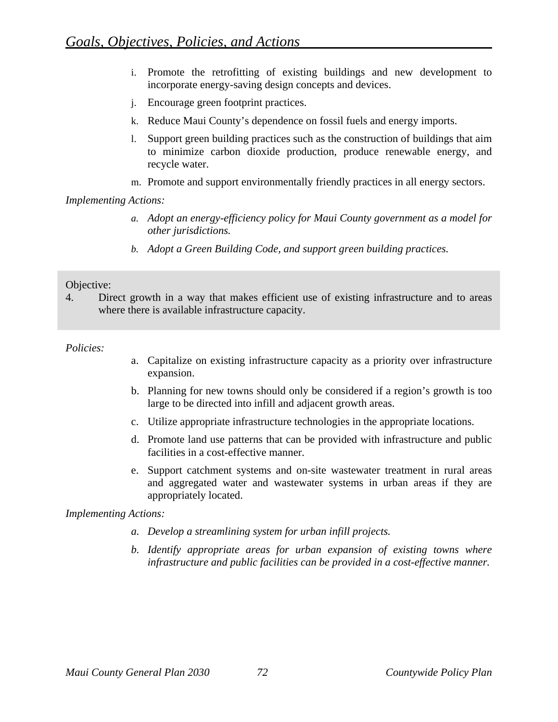- i. Promote the retrofitting of existing buildings and new development to incorporate energy-saving design concepts and devices.
- j. Encourage green footprint practices.
- k. Reduce Maui County's dependence on fossil fuels and energy imports.
- l. Support green building practices such as the construction of buildings that aim to minimize carbon dioxide production, produce renewable energy, and recycle water.
- m. Promote and support environmentally friendly practices in all energy sectors.

- *a. Adopt an energy-efficiency policy for Maui County government as a model for other jurisdictions.*
- *b. Adopt a Green Building Code, and support green building practices.*

#### Objective:

4. Direct growth in a way that makes efficient use of existing infrastructure and to areas where there is available infrastructure capacity.

#### *Policies:*

- a. Capitalize on existing infrastructure capacity as a priority over infrastructure expansion.
- b. Planning for new towns should only be considered if a region's growth is too large to be directed into infill and adjacent growth areas.
- c. Utilize appropriate infrastructure technologies in the appropriate locations.
- d. Promote land use patterns that can be provided with infrastructure and public facilities in a cost-effective manner.
- e. Support catchment systems and on-site wastewater treatment in rural areas and aggregated water and wastewater systems in urban areas if they are appropriately located.

- *a. Develop a streamlining system for urban infill projects.*
- *b. Identify appropriate areas for urban expansion of existing towns where infrastructure and public facilities can be provided in a cost-effective manner.*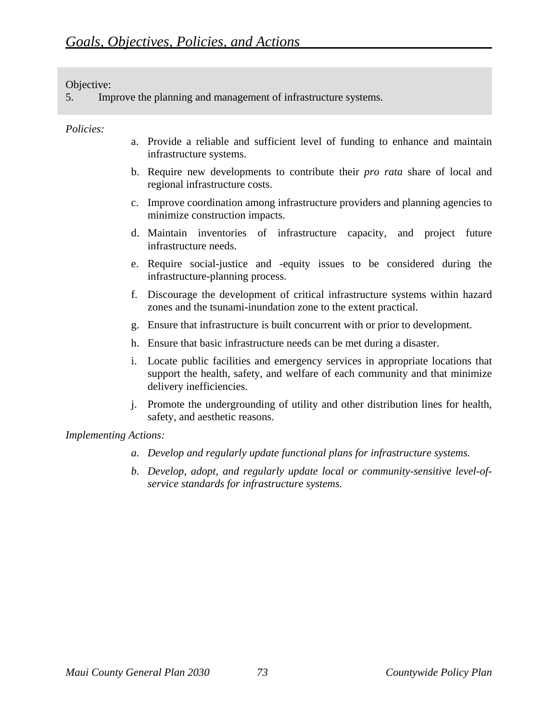5. Improve the planning and management of infrastructure systems.

#### *Policies:*

- a. Provide a reliable and sufficient level of funding to enhance and maintain infrastructure systems.
- b. Require new developments to contribute their *pro rata* share of local and regional infrastructure costs.
- c. Improve coordination among infrastructure providers and planning agencies to minimize construction impacts.
- d. Maintain inventories of infrastructure capacity, and project future infrastructure needs.
- e. Require social-justice and -equity issues to be considered during the infrastructure-planning process.
- f. Discourage the development of critical infrastructure systems within hazard zones and the tsunami-inundation zone to the extent practical.
- g. Ensure that infrastructure is built concurrent with or prior to development.
- h. Ensure that basic infrastructure needs can be met during a disaster.
- i. Locate public facilities and emergency services in appropriate locations that support the health, safety, and welfare of each community and that minimize delivery inefficiencies.
- j. Promote the undergrounding of utility and other distribution lines for health, safety, and aesthetic reasons.

- *a. Develop and regularly update functional plans for infrastructure systems.*
- *b. Develop, adopt, and regularly update local or community-sensitive level-ofservice standards for infrastructure systems.*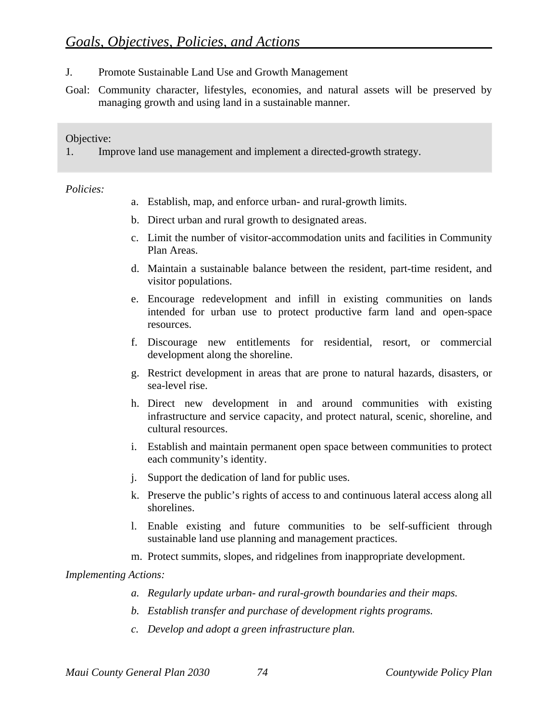- J. Promote Sustainable Land Use and Growth Management
- Goal: Community character, lifestyles, economies, and natural assets will be preserved by managing growth and using land in a sustainable manner.

1. Improve land use management and implement a directed-growth strategy.

#### *Policies:*

- a. Establish, map, and enforce urban- and rural-growth limits.
- b. Direct urban and rural growth to designated areas.
- c. Limit the number of visitor-accommodation units and facilities in Community Plan Areas.
- d. Maintain a sustainable balance between the resident, part-time resident, and visitor populations.
- e. Encourage redevelopment and infill in existing communities on lands intended for urban use to protect productive farm land and open-space resources.
- f. Discourage new entitlements for residential, resort, or commercial development along the shoreline.
- g. Restrict development in areas that are prone to natural hazards, disasters, or sea-level rise.
- h. Direct new development in and around communities with existing infrastructure and service capacity, and protect natural, scenic, shoreline, and cultural resources.
- i. Establish and maintain permanent open space between communities to protect each community's identity.
- j. Support the dedication of land for public uses.
- k. Preserve the public's rights of access to and continuous lateral access along all shorelines.
- l. Enable existing and future communities to be self-sufficient through sustainable land use planning and management practices.
- m. Protect summits, slopes, and ridgelines from inappropriate development.

- *a. Regularly update urban- and rural-growth boundaries and their maps.*
- *b. Establish transfer and purchase of development rights programs.*
- *c. Develop and adopt a green infrastructure plan.*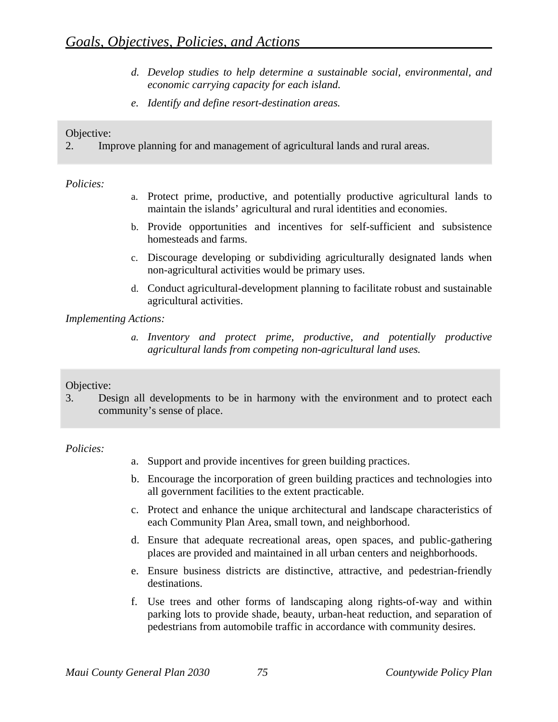- *d. Develop studies to help determine a sustainable social, environmental, and economic carrying capacity for each island.*
- *e. Identify and define resort-destination areas.*

2. Improve planning for and management of agricultural lands and rural areas.

## *Policies:*

- a. Protect prime, productive, and potentially productive agricultural lands to maintain the islands' agricultural and rural identities and economies.
- b. Provide opportunities and incentives for self-sufficient and subsistence homesteads and farms.
- c. Discourage developing or subdividing agriculturally designated lands when non-agricultural activities would be primary uses.
- d. Conduct agricultural-development planning to facilitate robust and sustainable agricultural activities.

## *Implementing Actions:*

*a. Inventory and protect prime, productive, and potentially productive agricultural lands from competing non-agricultural land uses.* 

# Objective:

3. Design all developments to be in harmony with the environment and to protect each community's sense of place.

- a. Support and provide incentives for green building practices.
- b. Encourage the incorporation of green building practices and technologies into all government facilities to the extent practicable.
- c. Protect and enhance the unique architectural and landscape characteristics of each Community Plan Area, small town, and neighborhood.
- d. Ensure that adequate recreational areas, open spaces, and public-gathering places are provided and maintained in all urban centers and neighborhoods.
- e. Ensure business districts are distinctive, attractive, and pedestrian-friendly destinations.
- f. Use trees and other forms of landscaping along rights-of-way and within parking lots to provide shade, beauty, urban-heat reduction, and separation of pedestrians from automobile traffic in accordance with community desires.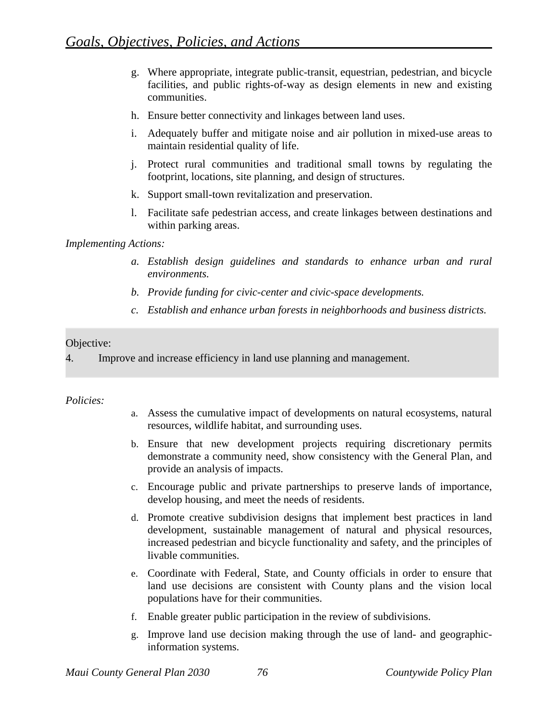- g. Where appropriate, integrate public-transit, equestrian, pedestrian, and bicycle facilities, and public rights-of-way as design elements in new and existing communities.
- h. Ensure better connectivity and linkages between land uses.
- i. Adequately buffer and mitigate noise and air pollution in mixed-use areas to maintain residential quality of life.
- j. Protect rural communities and traditional small towns by regulating the footprint, locations, site planning, and design of structures.
- k. Support small-town revitalization and preservation.
- l. Facilitate safe pedestrian access, and create linkages between destinations and within parking areas.

- *a. Establish design guidelines and standards to enhance urban and rural environments.*
- *b. Provide funding for civic-center and civic-space developments.*
- *c. Establish and enhance urban forests in neighborhoods and business districts.*

# Objective:

4. Improve and increase efficiency in land use planning and management.

- a. Assess the cumulative impact of developments on natural ecosystems, natural resources, wildlife habitat, and surrounding uses.
- b. Ensure that new development projects requiring discretionary permits demonstrate a community need, show consistency with the General Plan, and provide an analysis of impacts.
- c. Encourage public and private partnerships to preserve lands of importance, develop housing, and meet the needs of residents.
- d. Promote creative subdivision designs that implement best practices in land development, sustainable management of natural and physical resources, increased pedestrian and bicycle functionality and safety, and the principles of livable communities.
- e. Coordinate with Federal, State, and County officials in order to ensure that land use decisions are consistent with County plans and the vision local populations have for their communities.
- f. Enable greater public participation in the review of subdivisions.
- g. Improve land use decision making through the use of land- and geographicinformation systems.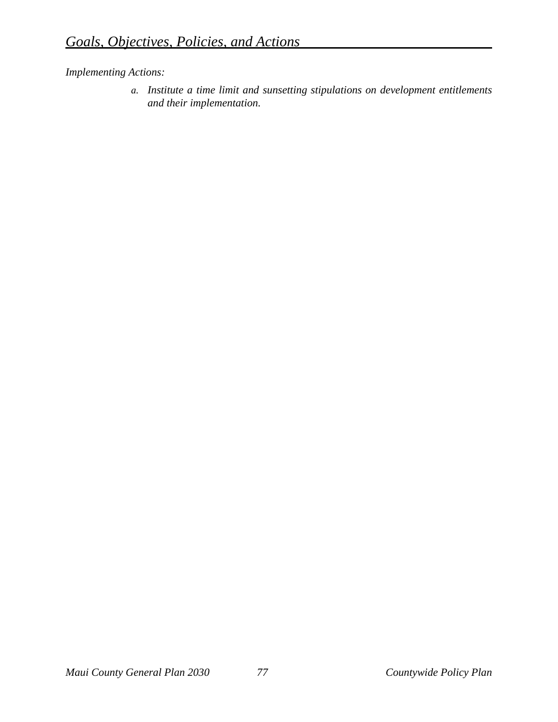*a. Institute a time limit and sunsetting stipulations on development entitlements and their implementation.*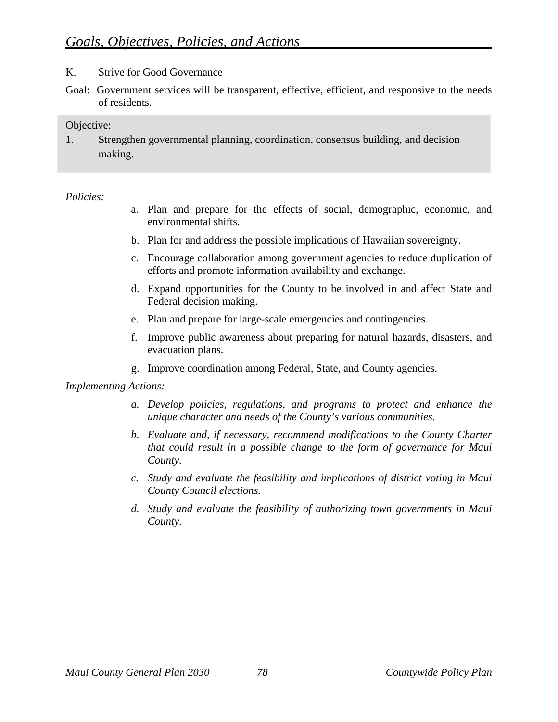- K. Strive for Good Governance
- Goal: Government services will be transparent, effective, efficient, and responsive to the needs of residents.

1. Strengthen governmental planning, coordination, consensus building, and decision making.

#### *Policies:*

- a. Plan and prepare for the effects of social, demographic, economic, and environmental shifts.
- b. Plan for and address the possible implications of Hawaiian sovereignty.
- c. Encourage collaboration among government agencies to reduce duplication of efforts and promote information availability and exchange.
- d. Expand opportunities for the County to be involved in and affect State and Federal decision making.
- e. Plan and prepare for large-scale emergencies and contingencies.
- f. Improve public awareness about preparing for natural hazards, disasters, and evacuation plans.
- g. Improve coordination among Federal, State, and County agencies.

- *a. Develop policies, regulations, and programs to protect and enhance the unique character and needs of the County's various communities.*
- *b. Evaluate and, if necessary, recommend modifications to the County Charter that could result in a possible change to the form of governance for Maui County.*
- *c. Study and evaluate the feasibility and implications of district voting in Maui County Council elections.*
- *d. Study and evaluate the feasibility of authorizing town governments in Maui County.*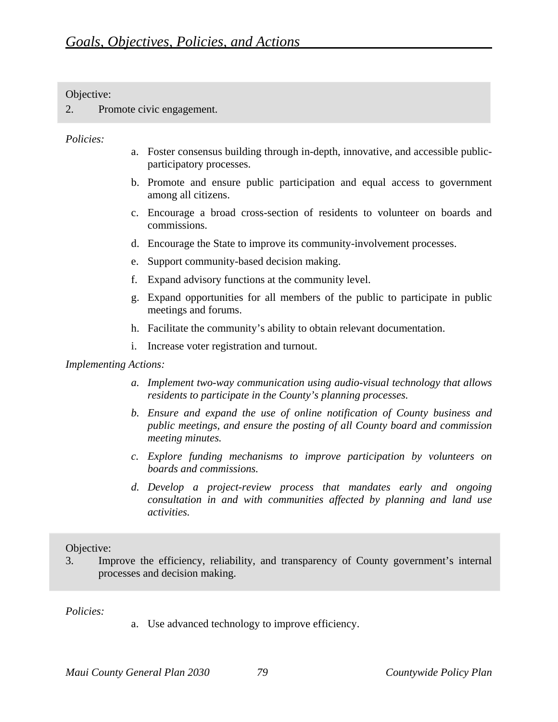2. Promote civic engagement.

#### *Policies:*

- a. Foster consensus building through in-depth, innovative, and accessible publicparticipatory processes.
- b. Promote and ensure public participation and equal access to government among all citizens.
- c. Encourage a broad cross-section of residents to volunteer on boards and commissions.
- d. Encourage the State to improve its community-involvement processes.
- e. Support community-based decision making.
- f. Expand advisory functions at the community level.
- g. Expand opportunities for all members of the public to participate in public meetings and forums.
- h. Facilitate the community's ability to obtain relevant documentation.
- i. Increase voter registration and turnout.

#### *Implementing Actions:*

- *a. Implement two-way communication using audio-visual technology that allows residents to participate in the County's planning processes.*
- *b. Ensure and expand the use of online notification of County business and public meetings, and ensure the posting of all County board and commission meeting minutes.*
- *c. Explore funding mechanisms to improve participation by volunteers on boards and commissions.*
- *d. Develop a project-review process that mandates early and ongoing consultation in and with communities affected by planning and land use activities.*

#### Objective:

3. Improve the efficiency, reliability, and transparency of County government's internal processes and decision making.

*Policies:* 

a. Use advanced technology to improve efficiency.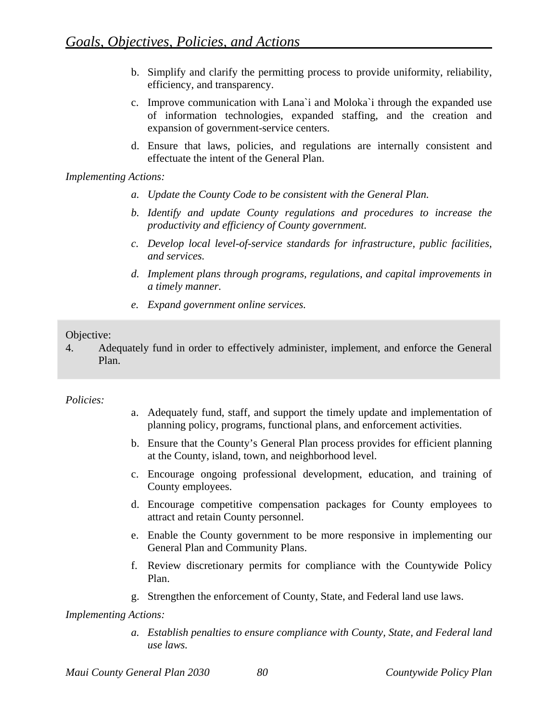- b. Simplify and clarify the permitting process to provide uniformity, reliability, efficiency, and transparency.
- c. Improve communication with Lana`i and Moloka`i through the expanded use of information technologies, expanded staffing, and the creation and expansion of government-service centers.
- d. Ensure that laws, policies, and regulations are internally consistent and effectuate the intent of the General Plan.

- *a. Update the County Code to be consistent with the General Plan.*
- *b. Identify and update County regulations and procedures to increase the productivity and efficiency of County government.*
- *c. Develop local level-of-service standards for infrastructure, public facilities, and services.*
- *d. Implement plans through programs, regulations, and capital improvements in a timely manner.*
- *e. Expand government online services.*

#### Objective:

4. Adequately fund in order to effectively administer, implement, and enforce the General Plan.

#### *Policies:*

- a. Adequately fund, staff, and support the timely update and implementation of planning policy, programs, functional plans, and enforcement activities.
- b. Ensure that the County's General Plan process provides for efficient planning at the County, island, town, and neighborhood level.
- c. Encourage ongoing professional development, education, and training of County employees.
- d. Encourage competitive compensation packages for County employees to attract and retain County personnel.
- e. Enable the County government to be more responsive in implementing our General Plan and Community Plans.
- f. Review discretionary permits for compliance with the Countywide Policy Plan.
- g. Strengthen the enforcement of County, State, and Federal land use laws.

*Implementing Actions:* 

*a. Establish penalties to ensure compliance with County, State, and Federal land use laws.*